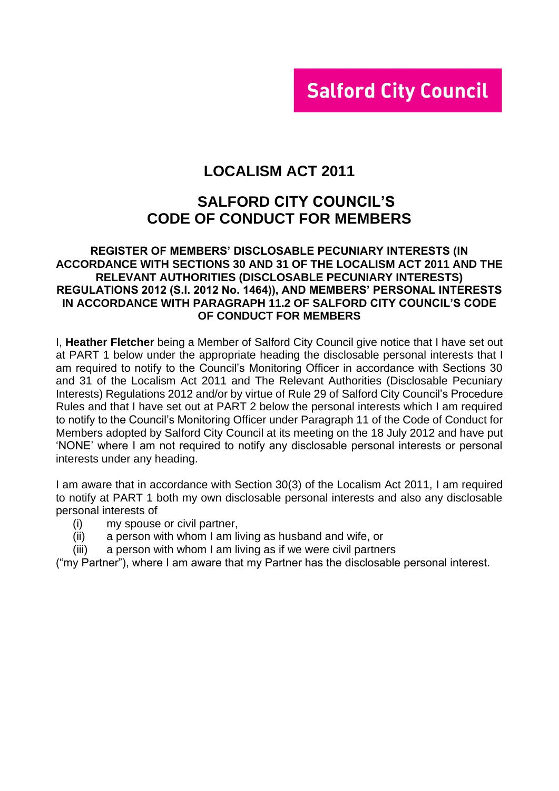# **Salford City Council**

# **LOCALISM ACT 2011**

# **SALFORD CITY COUNCIL'S CODE OF CONDUCT FOR MEMBERS**

#### **REGISTER OF MEMBERS' DISCLOSABLE PECUNIARY INTERESTS (IN ACCORDANCE WITH SECTIONS 30 AND 31 OF THE LOCALISM ACT 2011 AND THE RELEVANT AUTHORITIES (DISCLOSABLE PECUNIARY INTERESTS) REGULATIONS 2012 (S.I. 2012 No. 1464)), AND MEMBERS' PERSONAL INTERESTS IN ACCORDANCE WITH PARAGRAPH 11.2 OF SALFORD CITY COUNCIL'S CODE OF CONDUCT FOR MEMBERS**

I, **Heather Fletcher** being a Member of Salford City Council give notice that I have set out at PART 1 below under the appropriate heading the disclosable personal interests that I am required to notify to the Council's Monitoring Officer in accordance with Sections 30 and 31 of the Localism Act 2011 and The Relevant Authorities (Disclosable Pecuniary Interests) Regulations 2012 and/or by virtue of Rule 29 of Salford City Council's Procedure Rules and that I have set out at PART 2 below the personal interests which I am required to notify to the Council's Monitoring Officer under Paragraph 11 of the Code of Conduct for Members adopted by Salford City Council at its meeting on the 18 July 2012 and have put 'NONE' where I am not required to notify any disclosable personal interests or personal interests under any heading.

I am aware that in accordance with Section 30(3) of the Localism Act 2011, I am required to notify at PART 1 both my own disclosable personal interests and also any disclosable personal interests of

- (i) my spouse or civil partner,
- (ii) a person with whom I am living as husband and wife, or
- (iii) a person with whom I am living as if we were civil partners

("my Partner"), where I am aware that my Partner has the disclosable personal interest.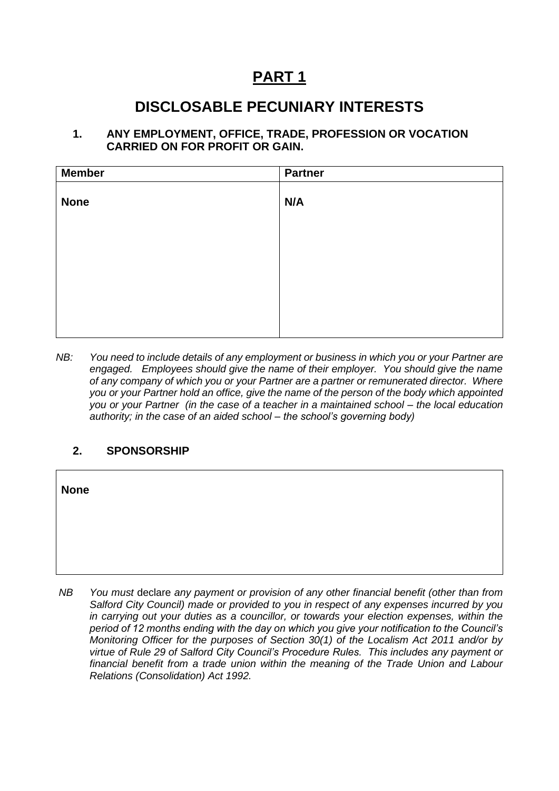# **PART 1**

# **DISCLOSABLE PECUNIARY INTERESTS**

#### **1. ANY EMPLOYMENT, OFFICE, TRADE, PROFESSION OR VOCATION CARRIED ON FOR PROFIT OR GAIN.**

| <b>Member</b> | <b>Partner</b> |
|---------------|----------------|
| <b>None</b>   | N/A            |
|               |                |
|               |                |
|               |                |
|               |                |

*NB: You need to include details of any employment or business in which you or your Partner are engaged. Employees should give the name of their employer. You should give the name of any company of which you or your Partner are a partner or remunerated director. Where you or your Partner hold an office, give the name of the person of the body which appointed you or your Partner (in the case of a teacher in a maintained school – the local education authority; in the case of an aided school – the school's governing body)*

## **2. SPONSORSHIP**

 $\overline{\phantom{a}}$ 

| <b>None</b> |                                                                                                                                                                                       |
|-------------|---------------------------------------------------------------------------------------------------------------------------------------------------------------------------------------|
|             |                                                                                                                                                                                       |
|             |                                                                                                                                                                                       |
| NB          | You must declare any payment or provision of any other financial benefit (other than from<br>Salford City Council) made or provided to you in respect of any expenses incurred by you |

٦

*Salford City Council) made or provided to you in respect of any expenses incurred by you in carrying out your duties as a councillor, or towards your election expenses, within the period of 12 months ending with the day on which you give your notification to the Council's Monitoring Officer for the purposes of Section 30(1) of the Localism Act 2011 and/or by virtue of Rule 29 of Salford City Council's Procedure Rules. This includes any payment or financial benefit from a trade union within the meaning of the Trade Union and Labour Relations (Consolidation) Act 1992.*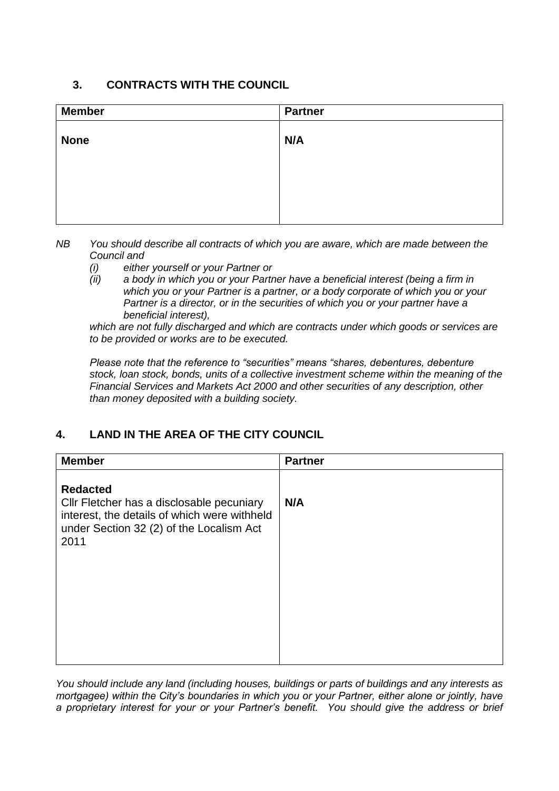# **3. CONTRACTS WITH THE COUNCIL**

| <b>Member</b> | <b>Partner</b> |
|---------------|----------------|
| <b>None</b>   | N/A            |
|               |                |
|               |                |
|               |                |

- *NB You should describe all contracts of which you are aware, which are made between the Council and* 
	- *(i) either yourself or your Partner or*
	- *(ii) a body in which you or your Partner have a beneficial interest (being a firm in which you or your Partner is a partner, or a body corporate of which you or your Partner is a director, or in the securities of which you or your partner have a beneficial interest),*

*which are not fully discharged and which are contracts under which goods or services are to be provided or works are to be executed.*

*Please note that the reference to "securities" means "shares, debentures, debenture stock, loan stock, bonds, units of a collective investment scheme within the meaning of the Financial Services and Markets Act 2000 and other securities of any description, other than money deposited with a building society.*

# **4. LAND IN THE AREA OF THE CITY COUNCIL**

| <b>Member</b>                                                                                                                                                    | <b>Partner</b> |
|------------------------------------------------------------------------------------------------------------------------------------------------------------------|----------------|
| <b>Redacted</b><br>Cllr Fletcher has a disclosable pecuniary<br>interest, the details of which were withheld<br>under Section 32 (2) of the Localism Act<br>2011 | N/A            |

*You should include any land (including houses, buildings or parts of buildings and any interests as mortgagee) within the City's boundaries in which you or your Partner, either alone or jointly, have a proprietary interest for your or your Partner's benefit. You should give the address or brief*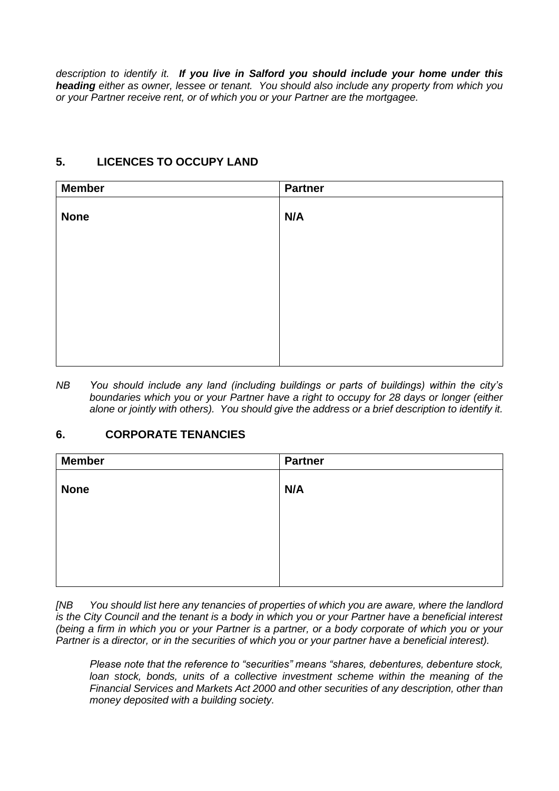*description to identify it. If you live in Salford you should include your home under this heading either as owner, lessee or tenant. You should also include any property from which you or your Partner receive rent, or of which you or your Partner are the mortgagee.*

# **5. LICENCES TO OCCUPY LAND**

| N/A |
|-----|
|     |
|     |
|     |
|     |
|     |
|     |
|     |
|     |

*NB You should include any land (including buildings or parts of buildings) within the city's boundaries which you or your Partner have a right to occupy for 28 days or longer (either alone or jointly with others). You should give the address or a brief description to identify it.*

## **6. CORPORATE TENANCIES**

| <b>Member</b> | <b>Partner</b> |
|---------------|----------------|
| <b>None</b>   | N/A            |
|               |                |
|               |                |
|               |                |
|               |                |

*[NB You should list here any tenancies of properties of which you are aware, where the landlord is the City Council and the tenant is a body in which you or your Partner have a beneficial interest (being a firm in which you or your Partner is a partner, or a body corporate of which you or your Partner is a director, or in the securities of which you or your partner have a beneficial interest).* 

*Please note that the reference to "securities" means "shares, debentures, debenture stock, loan stock, bonds, units of a collective investment scheme within the meaning of the Financial Services and Markets Act 2000 and other securities of any description, other than money deposited with a building society.*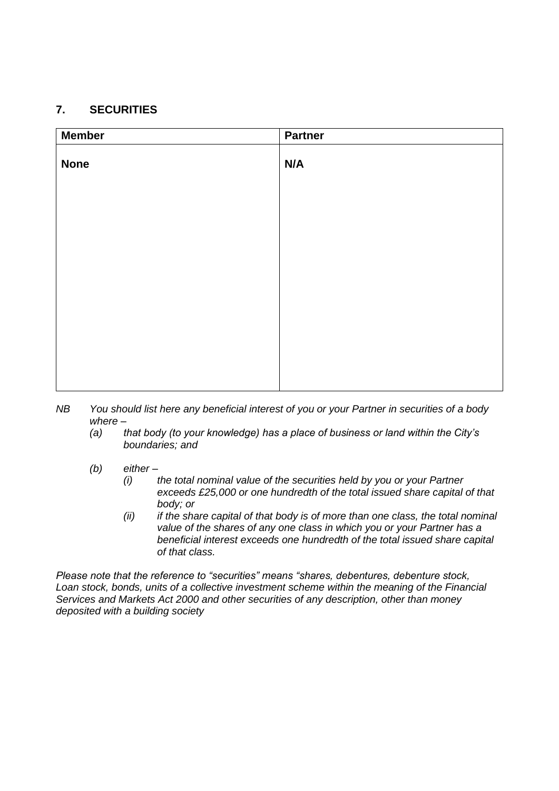# **7. SECURITIES**

| <b>Member</b> | <b>Partner</b> |
|---------------|----------------|
| <b>None</b>   | N/A            |
|               |                |
|               |                |
|               |                |
|               |                |
|               |                |
|               |                |

- *NB You should list here any beneficial interest of you or your Partner in securities of a body where –*
	- *(a) that body (to your knowledge) has a place of business or land within the City's boundaries; and*
	- *(b) either –*
		- *(i) the total nominal value of the securities held by you or your Partner exceeds £25,000 or one hundredth of the total issued share capital of that body; or*
		- *(ii) if the share capital of that body is of more than one class, the total nominal value of the shares of any one class in which you or your Partner has a beneficial interest exceeds one hundredth of the total issued share capital of that class.*

*Please note that the reference to "securities" means "shares, debentures, debenture stock, Loan stock, bonds, units of a collective investment scheme within the meaning of the Financial Services and Markets Act 2000 and other securities of any description, other than money deposited with a building society*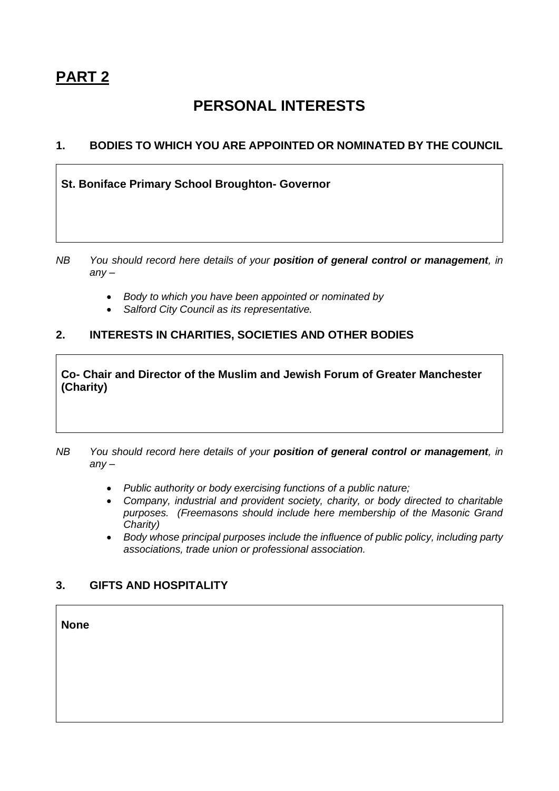# **PERSONAL INTERESTS**

# **1. BODIES TO WHICH YOU ARE APPOINTED OR NOMINATED BY THE COUNCIL**

**St. Boniface Primary School Broughton- Governor**

- *NB You should record here details of your position of general control or management, in any –*
	- *Body to which you have been appointed or nominated by*
	- *Salford City Council as its representative.*

## **2. INTERESTS IN CHARITIES, SOCIETIES AND OTHER BODIES**

**Co- Chair and Director of the Muslim and Jewish Forum of Greater Manchester (Charity)**

- *NB You should record here details of your position of general control or management, in any –*
	- *Public authority or body exercising functions of a public nature;*
	- *Company, industrial and provident society, charity, or body directed to charitable purposes. (Freemasons should include here membership of the Masonic Grand Charity)*
	- *Body whose principal purposes include the influence of public policy, including party associations, trade union or professional association.*

## **3. GIFTS AND HOSPITALITY**

**None**